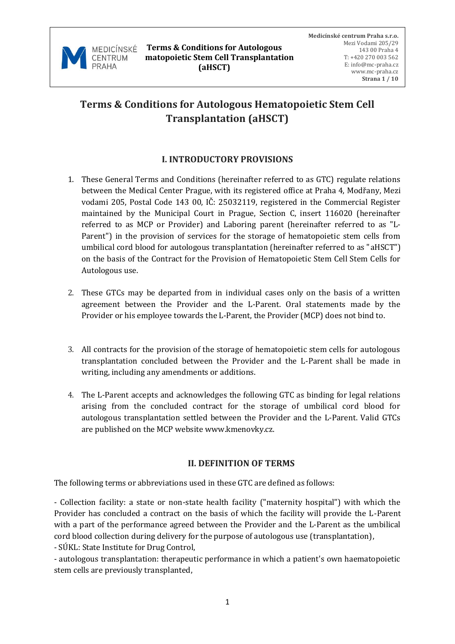

# **Terms & Conditions for Autologous Hematopoietic Stem Cell Transplantation (aHSCT)**

## **I. INTRODUCTORY PROVISIONS**

- 1. These General Terms and Conditions (hereinafter referred to as GTC) regulate relations between the Medical Center Prague, with its registered office at Praha 4, Modřany, Mezi vodami 205, Postal Code 143 00, IČ: 25032119, registered in the Commercial Register maintained by the Municipal Court in Prague, Section C, insert 116020 (hereinafter referred to as MCP or Provider) and Laboring parent (hereinafter referred to as "L-Parent") in the provision of services for the storage of hematopoietic stem cells from umbilical cord blood for autologous transplantation (hereinafter referred to as "aHSCT") on the basis of the Contract for the Provision of Hematopoietic Stem Cell Stem Cells for Autologous use.
- 2. These GTCs may be departed from in individual cases only on the basis of a written agreement between the Provider and the L-Parent. Oral statements made by the Provider or his employee towards the L-Parent, the Provider (MCP) does not bind to.
- 3. All contracts for the provision of the storage of hematopoietic stem cells for autologous transplantation concluded between the Provider and the L-Parent shall be made in writing, including any amendments or additions.
- 4. The L-Parent accepts and acknowledges the following GTC as binding for legal relations arising from the concluded contract for the storage of umbilical cord blood for autologous transplantation settled between the Provider and the L-Parent. Valid GTCs are published on the MCP website www.kmenovky.cz.

#### **II. DEFINITION OF TERMS**

The following terms or abbreviations used in these GTC are defined as follows:

- Collection facility: a state or non-state health facility ("maternity hospital") with which the Provider has concluded a contract on the basis of which the facility will provide the L-Parent with a part of the performance agreed between the Provider and the L-Parent as the umbilical cord blood collection during delivery for the purpose of autologous use (transplantation), - SÚKL: State Institute for Drug Control,

- autologous transplantation: therapeutic performance in which a patient's own haematopoietic stem cells are previously transplanted,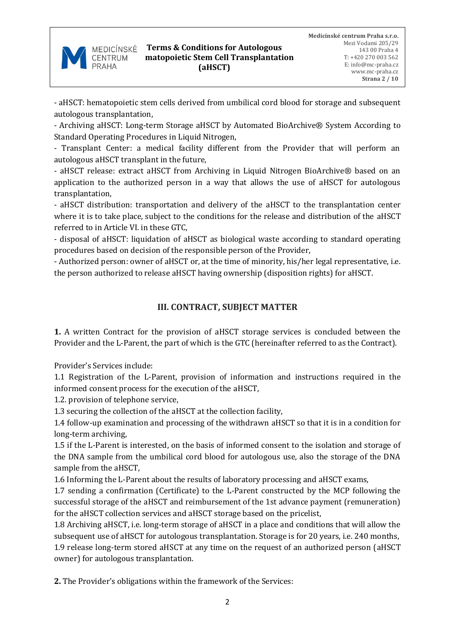

- aHSCT: hematopoietic stem cells derived from umbilical cord blood for storage and subsequent autologous transplantation,

- Archiving aHSCT: Long-term Storage aHSCT by Automated BioArchive® System According to Standard Operating Procedures in Liquid Nitrogen,

- Transplant Center: a medical facility different from the Provider that will perform an autologous aHSCT transplant in the future,

- aHSCT release: extract aHSCT from Archiving in Liquid Nitrogen BioArchive® based on an application to the authorized person in a way that allows the use of aHSCT for autologous transplantation,

- aHSCT distribution: transportation and delivery of the aHSCT to the transplantation center where it is to take place, subject to the conditions for the release and distribution of the aHSCT referred to in Article VI. in these GTC,

- disposal of aHSCT: liquidation of aHSCT as biological waste according to standard operating procedures based on decision of the responsible person of the Provider,

- Authorized person: owner of aHSCT or, at the time of minority, his/her legal representative, i.e. the person authorized to release aHSCT having ownership (disposition rights) for aHSCT.

# **III. CONTRACT, SUBJECT MATTER**

**1.** A written Contract for the provision of aHSCT storage services is concluded between the Provider and the L-Parent, the part of which is the GTC (hereinafter referred to as the Contract).

Provider's Services include:

1.1 Registration of the L-Parent, provision of information and instructions required in the informed consent process for the execution of the aHSCT,

1.2. provision of telephone service,

1.3 securing the collection of the aHSCT at the collection facility,

1.4 follow-up examination and processing of the withdrawn aHSCT so that it is in a condition for long-term archiving,

1.5 if the L-Parent is interested, on the basis of informed consent to the isolation and storage of the DNA sample from the umbilical cord blood for autologous use, also the storage of the DNA sample from the aHSCT,

1.6 Informing the L-Parent about the results of laboratory processing and aHSCT exams,

1.7 sending a confirmation (Certificate) to the L-Parent constructed by the MCP following the successful storage of the aHSCT and reimbursement of the 1st advance payment (remuneration) for the aHSCT collection services and aHSCT storage based on the pricelist,

1.8 Archiving aHSCT, i.e. long-term storage of aHSCT in a place and conditions that will allow the subsequent use of aHSCT for autologous transplantation. Storage is for 20 years, i.e. 240 months, 1.9 release long-term stored aHSCT at any time on the request of an authorized person (aHSCT owner) for autologous transplantation.

**2.** The Provider's obligations within the framework of the Services: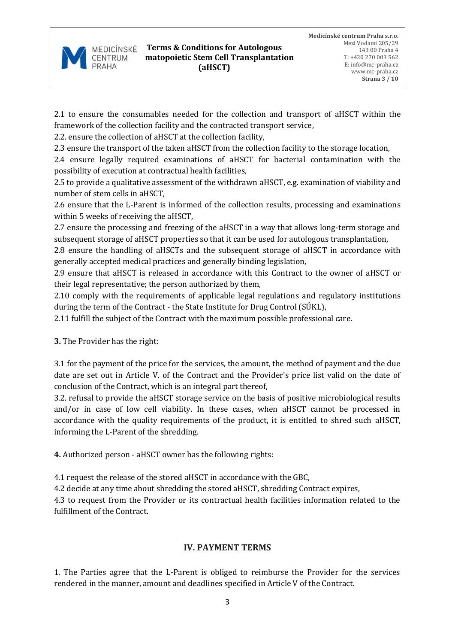

2.1 to ensure the consumables needed for the collection and transport of aHSCT within the framework of the collection facility and the contracted transport service,

2.2. ensure the collection of aHSCT at the collection facility,

2.3 ensure the transport of the taken aHSCT from the collection facility to the storage location,

2.4 ensure legally required examinations of aHSCT for bacterial contamination with the possibility of execution at contractual health facilities,

2.5 to provide a qualitative assessment of the withdrawn aHSCT, e.g. examination of viability and number of stem cells in aHSCT,

2.6 ensure that the L-Parent is informed of the collection results, processing and examinations within 5 weeks of receiving the aHSCT,

2.7 ensure the processing and freezing of the aHSCT in a way that allows long-term storage and subsequent storage of aHSCT properties so that it can be used for autologous transplantation,

2.8 ensure the handling of aHSCTs and the subsequent storage of aHSCT in accordance with generally accepted medical practices and generally binding legislation,

2.9 ensure that aHSCT is released in accordance with this Contract to the owner of aHSCT or their legal representative; the person authorized by them,

2.10 comply with the requirements of applicable legal regulations and regulatory institutions during the term of the Contract - the State Institute for Drug Control (SÚKL),

2.11 fulfill the subject of the Contract with the maximum possible professional care.

**3.** The Provider has the right:

3.1 for the payment of the price for the services, the amount, the method of payment and the due date are set out in Article V. of the Contract and the Provider's price list valid on the date of conclusion of the Contract, which is an integral part thereof,

3.2. refusal to provide the aHSCT storage service on the basis of positive microbiological results and/or in case of low cell viability. In these cases, when aHSCT cannot be processed in accordance with the quality requirements of the product, it is entitled to shred such aHSCT, informing the L-Parent of the shredding.

**4.** Authorized person - aHSCT owner has the following rights:

4.1 request the release of the stored aHSCT in accordance with the GBC,

4.2 decide at any time about shredding the stored aHSCT, shredding Contract expires,

4.3 to request from the Provider or its contractual health facilities information related to the fulfillment of the Contract.

# **IV. PAYMENT TERMS**

1. The Parties agree that the L-Parent is obliged to reimburse the Provider for the services rendered in the manner, amount and deadlines specified in Article V of the Contract.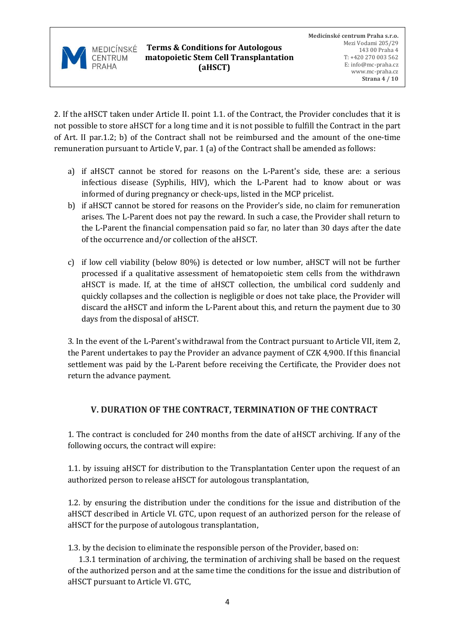

2. If the aHSCT taken under Article II. point 1.1. of the Contract, the Provider concludes that it is not possible to store aHSCT for a long time and it is not possible to fulfill the Contract in the part of Art. II par.1.2; b) of the Contract shall not be reimbursed and the amount of the one-time remuneration pursuant to Article V, par. 1 (a) of the Contract shall be amended as follows:

- a) if aHSCT cannot be stored for reasons on the L-Parent's side, these are: a serious infectious disease (Syphilis, HIV), which the L-Parent had to know about or was informed of during pregnancy or check-ups, listed in the MCP pricelist.
- b) if aHSCT cannot be stored for reasons on the Provider's side, no claim for remuneration arises. The L-Parent does not pay the reward. In such a case, the Provider shall return to the L-Parent the financial compensation paid so far, no later than 30 days after the date of the occurrence and/or collection of the aHSCT.
- c) if low cell viability (below 80%) is detected or low number, aHSCT will not be further processed if a qualitative assessment of hematopoietic stem cells from the withdrawn aHSCT is made. If, at the time of aHSCT collection, the umbilical cord suddenly and quickly collapses and the collection is negligible or does not take place, the Provider will discard the aHSCT and inform the L-Parent about this, and return the payment due to 30 days from the disposal of aHSCT.

3. In the event of the L-Parent's withdrawal from the Contract pursuant to Article VII, item 2, the Parent undertakes to pay the Provider an advance payment of CZK 4,900. If this financial settlement was paid by the L-Parent before receiving the Certificate, the Provider does not return the advance payment.

# **V. DURATION OF THE CONTRACT, TERMINATION OF THE CONTRACT**

1. The contract is concluded for 240 months from the date of aHSCT archiving. If any of the following occurs, the contract will expire:

1.1. by issuing aHSCT for distribution to the Transplantation Center upon the request of an authorized person to release aHSCT for autologous transplantation,

1.2. by ensuring the distribution under the conditions for the issue and distribution of the aHSCT described in Article VI. GTC, upon request of an authorized person for the release of aHSCT for the purpose of autologous transplantation,

1.3. by the decision to eliminate the responsible person of the Provider, based on:

 1.3.1 termination of archiving, the termination of archiving shall be based on the request of the authorized person and at the same time the conditions for the issue and distribution of aHSCT pursuant to Article VI. GTC,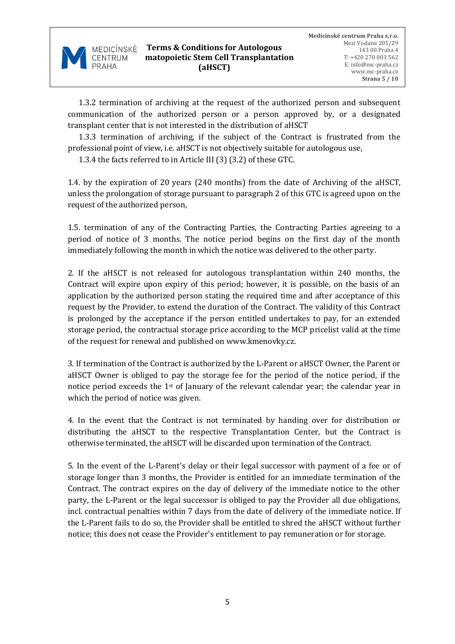

 1.3.2 termination of archiving at the request of the authorized person and subsequent communication of the authorized person or a person approved by, or a designated transplant center that is not interested in the distribution of aHSCT

 1.3.3 termination of archiving, if the subject of the Contract is frustrated from the professional point of view, i.e. aHSCT is not objectively suitable for autologous use,

1.3.4 the facts referred to in Article III (3) (3.2) of these GTC.

1.4. by the expiration of 20 years (240 months) from the date of Archiving of the aHSCT, unless the prolongation of storage pursuant to paragraph 2 of this GTC is agreed upon on the request of the authorized person,

1.5. termination of any of the Contracting Parties, the Contracting Parties agreeing to a period of notice of 3 months. The notice period begins on the first day of the month immediately following the month in which the notice was delivered to the other party.

2. If the aHSCT is not released for autologous transplantation within 240 months, the Contract will expire upon expiry of this period; however, it is possible, on the basis of an application by the authorized person stating the required time and after acceptance of this request by the Provider, to extend the duration of the Contract. The validity of this Contract is prolonged by the acceptance if the person entitled undertakes to pay, for an extended storage period, the contractual storage price according to the MCP pricelist valid at the time of the request for renewal and published on www.kmenovky.cz.

3. If termination of the Contract is authorized by the L-Parent or aHSCT Owner, the Parent or aHSCT Owner is obliged to pay the storage fee for the period of the notice period, if the notice period exceeds the 1st of January of the relevant calendar year; the calendar year in which the period of notice was given.

4. In the event that the Contract is not terminated by handing over for distribution or distributing the aHSCT to the respective Transplantation Center, but the Contract is otherwise terminated, the aHSCT will be discarded upon termination of the Contract.

5. In the event of the L-Parent's delay or their legal successor with payment of a fee or of storage longer than 3 months, the Provider is entitled for an immediate termination of the Contract. The contract expires on the day of delivery of the immediate notice to the other party, the L-Parent or the legal successor is obliged to pay the Provider all due obligations, incl. contractual penalties within 7 days from the date of delivery of the immediate notice. If the L-Parent fails to do so, the Provider shall be entitled to shred the aHSCT without further notice; this does not cease the Provider's entitlement to pay remuneration or for storage.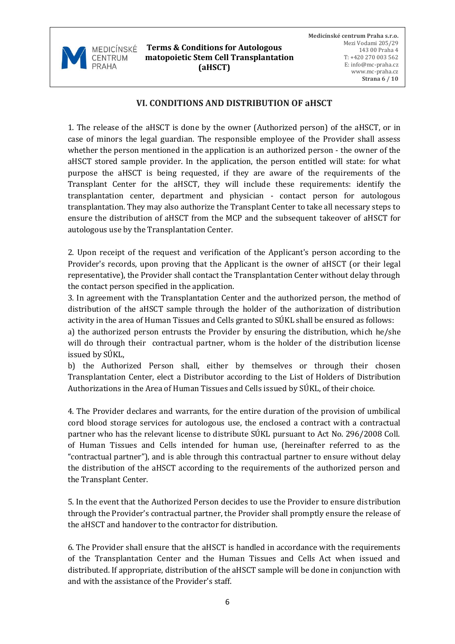

**Terms & Conditions for Autologous matopoietic Stem Cell Transplantation (aHSCT)**

### **VI. CONDITIONS AND DISTRIBUTION OF aHSCT**

1. The release of the aHSCT is done by the owner (Authorized person) of the aHSCT, or in case of minors the legal guardian. The responsible employee of the Provider shall assess whether the person mentioned in the application is an authorized person - the owner of the aHSCT stored sample provider. In the application, the person entitled will state: for what purpose the aHSCT is being requested, if they are aware of the requirements of the Transplant Center for the aHSCT, they will include these requirements: identify the transplantation center, department and physician - contact person for autologous transplantation. They may also authorize the Transplant Center to take all necessary steps to ensure the distribution of aHSCT from the MCP and the subsequent takeover of aHSCT for autologous use by the Transplantation Center.

2. Upon receipt of the request and verification of the Applicant's person according to the Provider's records, upon proving that the Applicant is the owner of aHSCT (or their legal representative), the Provider shall contact the Transplantation Center without delay through the contact person specified in the application.

3. In agreement with the Transplantation Center and the authorized person, the method of distribution of the aHSCT sample through the holder of the authorization of distribution activity in the area of Human Tissues and Cells granted to SÚKL shall be ensured as follows:

a) the authorized person entrusts the Provider by ensuring the distribution, which he/she will do through their contractual partner, whom is the holder of the distribution license issued by SÚKL,

b) the Authorized Person shall, either by themselves or through their chosen Transplantation Center, elect a Distributor according to the List of Holders of Distribution Authorizations in the Area of Human Tissues and Cells issued by SÚKL, of their choice.

4. The Provider declares and warrants, for the entire duration of the provision of umbilical cord blood storage services for autologous use, the enclosed a contract with a contractual partner who has the relevant license to distribute SÚKL pursuant to Act No. 296/2008 Coll. of Human Tissues and Cells intended for human use, (hereinafter referred to as the "contractual partner"), and is able through this contractual partner to ensure without delay the distribution of the aHSCT according to the requirements of the authorized person and the Transplant Center.

5. In the event that the Authorized Person decides to use the Provider to ensure distribution through the Provider's contractual partner, the Provider shall promptly ensure the release of the aHSCT and handover to the contractor for distribution.

6. The Provider shall ensure that the aHSCT is handled in accordance with the requirements of the Transplantation Center and the Human Tissues and Cells Act when issued and distributed. If appropriate, distribution of the aHSCT sample will be done in conjunction with and with the assistance of the Provider's staff.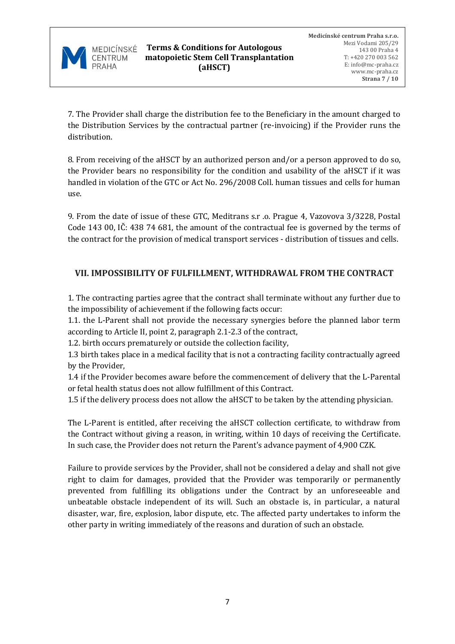

7. The Provider shall charge the distribution fee to the Beneficiary in the amount charged to the Distribution Services by the contractual partner (re-invoicing) if the Provider runs the distribution.

8. From receiving of the aHSCT by an authorized person and/or a person approved to do so, the Provider bears no responsibility for the condition and usability of the aHSCT if it was handled in violation of the GTC or Act No. 296/2008 Coll. human tissues and cells for human use.

9. From the date of issue of these GTC, Meditrans s.r .o. Prague 4, Vazovova 3/3228, Postal Code 143 00, IČ: 438 74 681, the amount of the contractual fee is governed by the terms of the contract for the provision of medical transport services - distribution of tissues and cells.

# **VII. IMPOSSIBILITY OF FULFILLMENT, WITHDRAWAL FROM THE CONTRACT**

1. The contracting parties agree that the contract shall terminate without any further due to the impossibility of achievement if the following facts occur:

1.1. the L-Parent shall not provide the necessary synergies before the planned labor term according to Article II, point 2, paragraph 2.1-2.3 of the contract,

1.2. birth occurs prematurely or outside the collection facility,

1.3 birth takes place in a medical facility that is not a contracting facility contractually agreed by the Provider,

1.4 if the Provider becomes aware before the commencement of delivery that the L-Parental or fetal health status does not allow fulfillment of this Contract.

1.5 if the delivery process does not allow the aHSCT to be taken by the attending physician.

The L-Parent is entitled, after receiving the aHSCT collection certificate, to withdraw from the Contract without giving a reason, in writing, within 10 days of receiving the Certificate. In such case, the Provider does not return the Parent's advance payment of 4,900 CZK.

Failure to provide services by the Provider, shall not be considered a delay and shall not give right to claim for damages, provided that the Provider was temporarily or permanently prevented from fulfilling its obligations under the Contract by an unforeseeable and unbeatable obstacle independent of its will. Such an obstacle is, in particular, a natural disaster, war, fire, explosion, labor dispute, etc. The affected party undertakes to inform the other party in writing immediately of the reasons and duration of such an obstacle.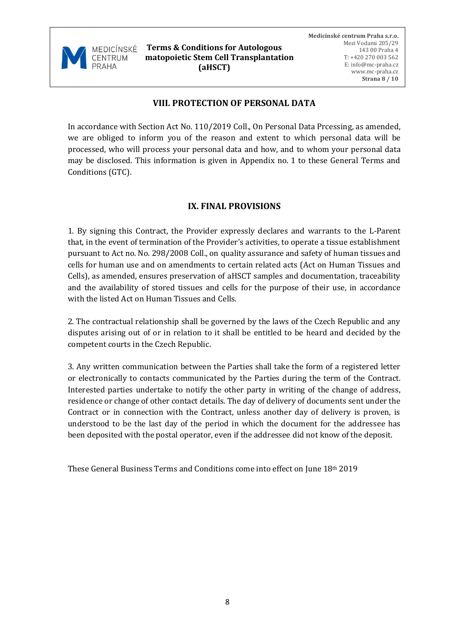

**Terms & Conditions for Autologous matopoietic Stem Cell Transplantation (aHSCT)**

## **VIII. PROTECTION OF PERSONAL DATA**

In accordance with Section Act No. 110/2019 Coll., On Personal Data Prcessing, as amended, we are obliged to inform you of the reason and extent to which personal data will be processed, who will process your personal data and how, and to whom your personal data may be disclosed. This information is given in Appendix no. 1 to these General Terms and Conditions (GTC).

## **IX. FINAL PROVISIONS**

1. By signing this Contract, the Provider expressly declares and warrants to the L-Parent that, in the event of termination of the Provider's activities, to operate a tissue establishment pursuant to Act no. No. 298/2008 Coll., on quality assurance and safety of human tissues and cells for human use and on amendments to certain related acts (Act on Human Tissues and Cells), as amended, ensures preservation of aHSCT samples and documentation, traceability and the availability of stored tissues and cells for the purpose of their use, in accordance with the listed Act on Human Tissues and Cells.

2. The contractual relationship shall be governed by the laws of the Czech Republic and any disputes arising out of or in relation to it shall be entitled to be heard and decided by the competent courts in the Czech Republic.

3. Any written communication between the Parties shall take the form of a registered letter or electronically to contacts communicated by the Parties during the term of the Contract. Interested parties undertake to notify the other party in writing of the change of address, residence or change of other contact details. The day of delivery of documents sent under the Contract or in connection with the Contract, unless another day of delivery is proven, is understood to be the last day of the period in which the document for the addressee has been deposited with the postal operator, even if the addressee did not know of the deposit.

These General Business Terms and Conditions come into effect on June 18th 2019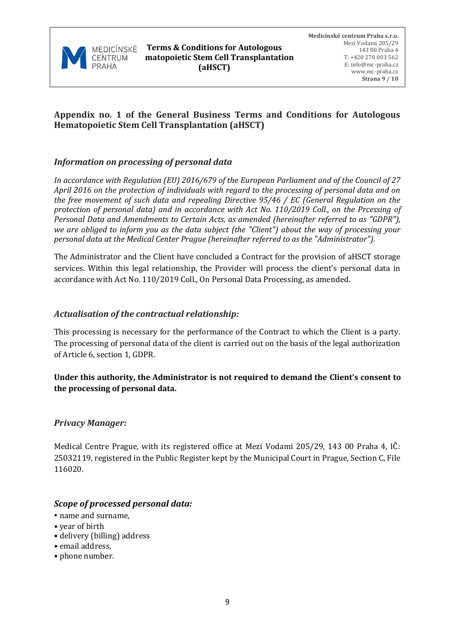

## **Appendix no. 1 of the General Business Terms and Conditions for Autologous Hematopoietic Stem Cell Transplantation (aHSCT)**

#### *Information on processing of personal data*

*In accordance with Regulation (EU) 2016/679 of the European Parliament and of the Council of 27 April 2016 on the protection of individuals with regard to the processing of personal data and on the free movement of such data and repealing Directive 95/46 / EC (General Regulation on the protection of personal data) and in accordance with Act No. 110/2019 Coll., on the Prcessing of Personal Data and Amendments to Certain Acts, as amended (hereinafter referred to as "GDPR"), we are obliged to inform you as the data subject (the "Client") about the way of processing your personal data at the Medical Center Prague (hereinafter referred to as the "Administrator").* 

The Administrator and the Client have concluded a Contract for the provision of aHSCT storage services. Within this legal relationship, the Provider will process the client's personal data in accordance with Act No. 110/2019 Coll., On Personal Data Processing, as amended.

#### *Actualisation of the contractual relationship:*

This processing is necessary for the performance of the Contract to which the Client is a party. The processing of personal data of the client is carried out on the basis of the legal authorization of Article 6, section 1, GDPR.

#### **Under this authority, the Administrator is not required to demand the Client's consent to the processing of personal data.**

#### *Privacy Manager:*

Medical Centre Prague, with its registered office at Mezi Vodami 205/29, 143 00 Praha 4, IČ: 25032119, registered in the Public Register kept by the Municipal Court in Prague, Section C, File 116020.

#### *Scope of processed personal data:*

- name and surname,
- year of birth
- delivery (billing) address
- email address,
- phone number.